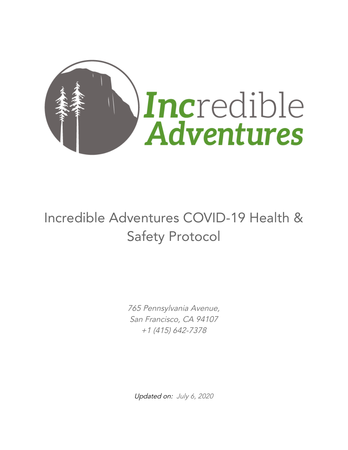

# Incredible Adventures COVID-19 Health & Safety Protocol

765 Pennsylvania Avenue, San Francisco, CA 94107 +1 (415) 642-7378

Updated on: July 6, 2020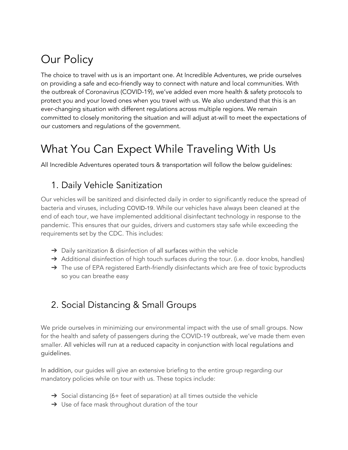# Our Policy

The choice to travel with us is an important one. At Incredible Adventures, we pride ourselves on providing a safe and eco-friendly way to connect with nature and local communities. With the outbreak of Coronavirus (COVID-19), we've added even more health & safety protocols to protect you and your loved ones when you travel with us. We also understand that this is an ever-changing situation with different regulations across multiple regions. We remain committed to closely monitoring the situation and will adjust at-will to meet the expectations of our customers and regulations of the government.

## What You Can Expect While Traveling With Us

All Incredible Adventures operated tours & transportation will follow the below guidelines:

### 1. Daily Vehicle Sanitization

Our vehicles will be sanitized and disinfected daily in order to significantly reduce the spread of bacteria and viruses, including COVID-19. While our vehicles have always been cleaned at the end of each tour, we have implemented additional disinfectant technology in response to the pandemic. This ensures that our guides, drivers and customers stay safe while exceeding the requirements set by the CDC. This includes:

- $\rightarrow$  Daily sanitization & disinfection of all surfaces within the vehicle
- → Additional disinfection of high touch surfaces during the tour. (i.e. door knobs, handles)
- → The use of EPA registered Earth-friendly disinfectants which are free of toxic byproducts so you can breathe easy

### 2. Social Distancing & Small Groups

We pride ourselves in minimizing our environmental impact with the use of small groups. Now for the health and safety of passengers during the COVID-19 outbreak, we've made them even smaller. All vehicles will run at a reduced capacity in conjunction with local regulations and guidelines.

In addition, our guides will give an extensive briefing to the entire group regarding our mandatory policies while on tour with us. These topics include:

- ➔ Social distancing (6+ feet of separation) at all times outside the vehicle
- → Use of face mask throughout duration of the tour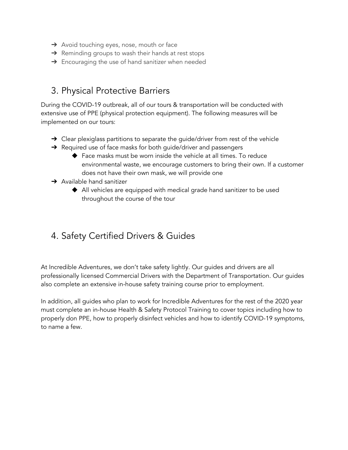- ➔ Avoid touching eyes, nose, mouth or face
- $\rightarrow$  Reminding groups to wash their hands at rest stops
- → Encouraging the use of hand sanitizer when needed

#### 3. Physical Protective Barriers

During the COVID-19 outbreak, all of our tours & transportation will be conducted with extensive use of PPE (physical protection equipment). The following measures will be implemented on our tours:

- $\rightarrow$  Clear plexiglass partitions to separate the guide/driver from rest of the vehicle
- → Required use of face masks for both quide/driver and passengers
	- ◆ Face masks must be worn inside the vehicle at all times. To reduce environmental waste, we encourage customers to bring their own. If a customer does not have their own mask, we will provide one
- $\rightarrow$  Available hand sanitizer
	- ◆ All vehicles are equipped with medical grade hand sanitizer to be used throughout the course of the tour

#### 4. Safety Certified Drivers & Guides

At Incredible Adventures, we don't take safety lightly. Our guides and drivers are all professionally licensed Commercial Drivers with the Department of Transportation. Our guides also complete an extensive in-house safety training course prior to employment.

In addition, all guides who plan to work for Incredible Adventures for the rest of the 2020 year must complete an in-house Health & Safety Protocol Training to cover topics including how to properly don PPE, how to properly disinfect vehicles and how to identify COVID-19 symptoms, to name a few.